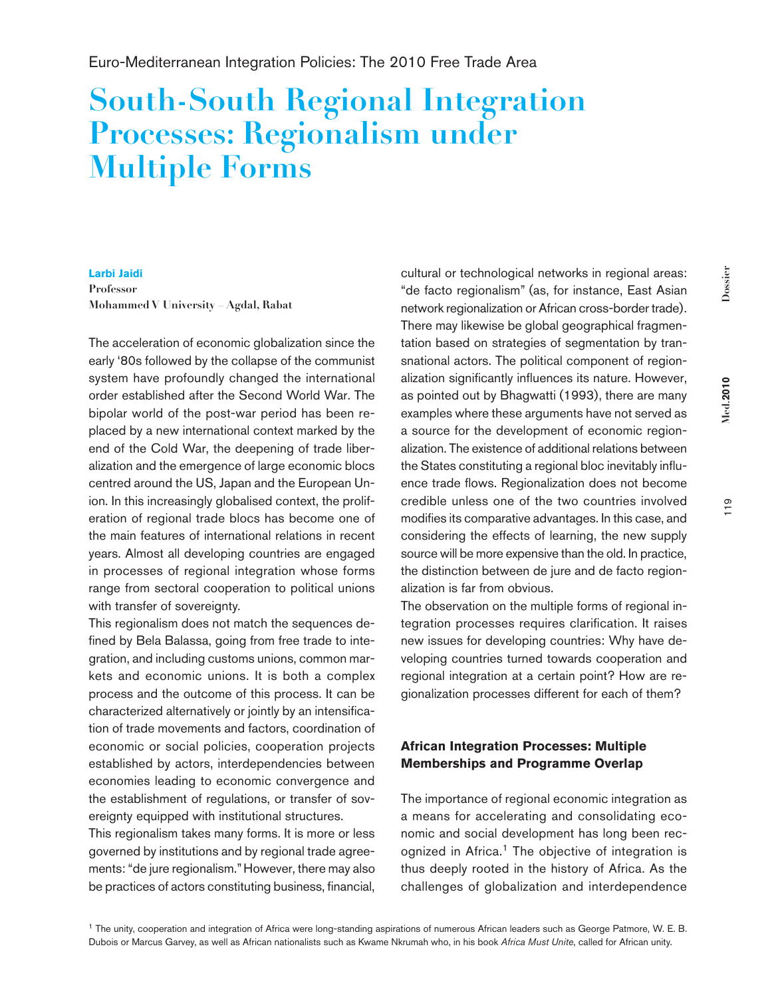# **South-South Regional Integration Processes: Regionalism under Multiple Forms**

#### **Larbi Jaidi**

**Professor Mohammed V University – Agdal, Rabat**

The acceleration of economic globalization since the early '80s followed by the collapse of the communist system have profoundly changed the international order established after the Second World War. The bipolar world of the post-war period has been replaced by a new international context marked by the end of the Cold War, the deepening of trade liberalization and the emergence of large economic blocs centred around the US, Japan and the European Union. In this increasingly globalised context, the proliferation of regional trade blocs has become one of the main features of international relations in recent years. Almost all developing countries are engaged in processes of regional integration whose forms range from sectoral cooperation to political unions with transfer of sovereignty.

This regionalism does not match the sequences defined by Bela Balassa, going from free trade to integration, and including customs unions, common markets and economic unions. It is both a complex process and the outcome of this process. It can be characterized alternatively or jointly by an intensification of trade movements and factors, coordination of economic or social policies, cooperation projects established by actors, interdependencies between economies leading to economic convergence and the establishment of regulations, or transfer of sovereignty equipped with institutional structures.

This regionalism takes many forms. It is more or less governed by institutions and by regional trade agreements: "de jure regionalism." However, there may also be practices of actors constituting business, financial,

cultural or technological networks in regional areas: "de facto regionalism" (as, for instance, East Asian network regionalization or African cross-border trade). There may likewise be global geographical fragmentation based on strategies of segmentation by transnational actors. The political component of regionalization significantly influences its nature. However, as pointed out by Bhagwatti (1993), there are many examples where these arguments have not served as a source for the development of economic regionalization. The existence of additional relations between the States constituting a regional bloc inevitably influence trade flows. Regionalization does not become credible unless one of the two countries involved modifies its comparative advantages. In this case, and considering the effects of learning, the new supply source will be more expensive than the old. In practice, the distinction between de jure and de facto regionalization is far from obvious.

The observation on the multiple forms of regional integration processes requires clarification. It raises new issues for developing countries: Why have developing countries turned towards cooperation and regional integration at a certain point? How are regionalization processes different for each of them?

## **African Integration Processes: Multiple Memberships and Programme Overlap**

The importance of regional economic integration as a means for accelerating and consolidating economic and social development has long been recognized in Africa.<sup>1</sup> The objective of integration is thus deeply rooted in the history of Africa. As the challenges of globalization and interdependence

**Med.2010**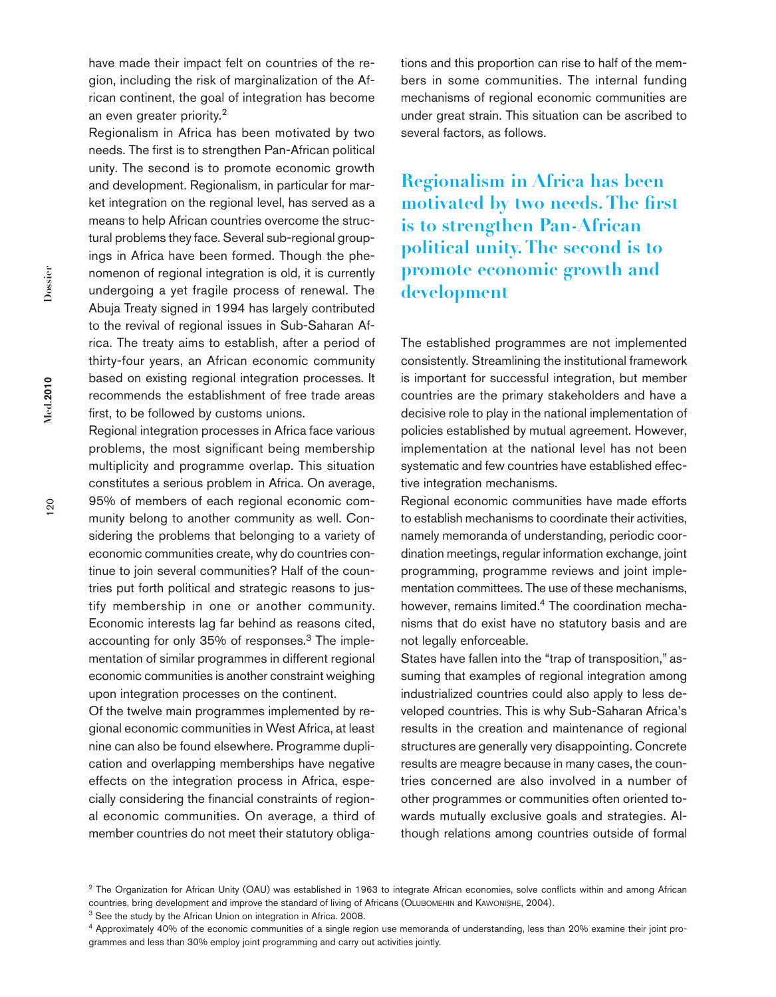have made their impact felt on countries of the region, including the risk of marginalization of the African continent, the goal of integration has become an even greater priority.<sup>2</sup>

Regionalism in Africa has been motivated by two needs. The first is to strengthen Pan-African political unity. The second is to promote economic growth and development. Regionalism, in particular for market integration on the regional level, has served as a means to help African countries overcome the structural problems they face. Several sub-regional groupings in Africa have been formed. Though the phenomenon of regional integration is old, it is currently undergoing a yet fragile process of renewal. The Abuja Treaty signed in 1994 has largely contributed to the revival of regional issues in Sub-Saharan Africa. The treaty aims to establish, after a period of thirty-four years, an African economic community based on existing regional integration processes. It recommends the establishment of free trade areas first, to be followed by customs unions.

Regional integration processes in Africa face various problems, the most significant being membership multiplicity and programme overlap. This situation constitutes a serious problem in Africa. On average, 95% of members of each regional economic community belong to another community as well. Considering the problems that belonging to a variety of economic communities create, why do countries continue to join several communities? Half of the countries put forth political and strategic reasons to justify membership in one or another community. Economic interests lag far behind as reasons cited, accounting for only 35% of responses.3 The implementation of similar programmes in different regional economic communities is another constraint weighing upon integration processes on the continent.

Of the twelve main programmes implemented by regional economic communities in West Africa, at least nine can also be found elsewhere. Programme duplication and overlapping memberships have negative effects on the integration process in Africa, especially considering the financial constraints of regional economic communities. On average, a third of member countries do not meet their statutory obligations and this proportion can rise to half of the members in some communities. The internal funding mechanisms of regional economic communities are under great strain. This situation can be ascribed to several factors, as follows.

**Regionalism in Africa has been motivated by two needs. The first is to strengthen Pan-African political unity. The second is to promote economic growth and development**

The established programmes are not implemented consistently. Streamlining the institutional framework is important for successful integration, but member countries are the primary stakeholders and have a decisive role to play in the national implementation of policies established by mutual agreement. However, implementation at the national level has not been systematic and few countries have established effective integration mechanisms.

Regional economic communities have made efforts to establish mechanisms to coordinate their activities, namely memoranda of understanding, periodic coordination meetings, regular information exchange, joint programming, programme reviews and joint implementation committees. The use of these mechanisms, however, remains limited.<sup>4</sup> The coordination mechanisms that do exist have no statutory basis and are not legally enforceable.

States have fallen into the "trap of transposition," assuming that examples of regional integration among industrialized countries could also apply to less developed countries. This is why Sub-Saharan Africa's results in the creation and maintenance of regional structures are generally very disappointing. Concrete results are meagre because in many cases, the countries concerned are also involved in a number of other programmes or communities often oriented towards mutually exclusive goals and strategies. Although relations among countries outside of formal

20

**Med.2010** 

<sup>&</sup>lt;sup>2</sup> The Organization for African Unity (OAU) was established in 1963 to integrate African economies, solve conflicts within and among African countries, bring development and improve the standard of living of Africans (Olubomehin and Kawonishe, 2004).

<sup>&</sup>lt;sup>3</sup> See the study by the African Union on integration in Africa. 2008.

<sup>4</sup> Approximately 40% of the economic communities of a single region use memoranda of understanding, less than 20% examine their joint programmes and less than 30% employ joint programming and carry out activities jointly.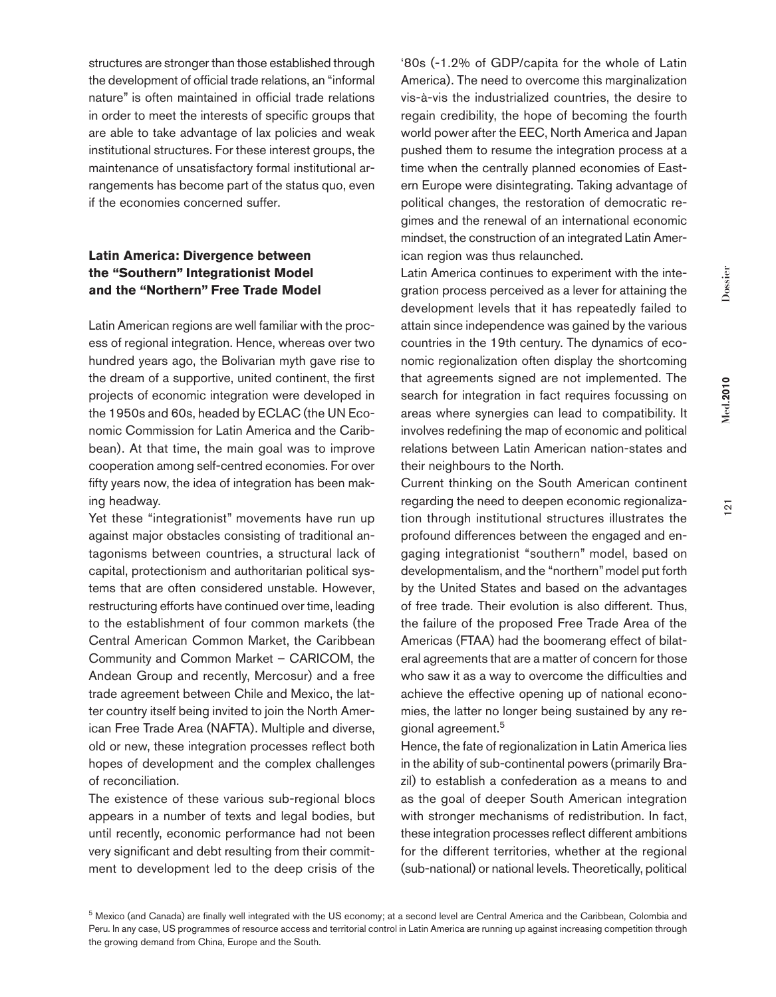Dossier

structures are stronger than those established through the development of official trade relations, an "informal nature" is often maintained in official trade relations in order to meet the interests of specific groups that are able to take advantage of lax policies and weak institutional structures. For these interest groups, the maintenance of unsatisfactory formal institutional arrangements has become part of the status quo, even if the economies concerned suffer.

## **Latin America: Divergence between the "Southern" Integrationist Model and the "Northern" Free Trade Model**

Latin American regions are well familiar with the process of regional integration. Hence, whereas over two hundred years ago, the Bolivarian myth gave rise to the dream of a supportive, united continent, the first projects of economic integration were developed in the 1950s and 60s, headed by ECLAC (the UN Economic Commission for Latin America and the Caribbean). At that time, the main goal was to improve cooperation among self-centred economies. For over fifty years now, the idea of integration has been making headway.

Yet these "integrationist" movements have run up against major obstacles consisting of traditional antagonisms between countries, a structural lack of capital, protectionism and authoritarian political systems that are often considered unstable. However, restructuring efforts have continued over time, leading to the establishment of four common markets (the Central American Common Market, the Caribbean Community and Common Market – CARICOM, the Andean Group and recently, Mercosur) and a free trade agreement between Chile and Mexico, the latter country itself being invited to join the North American Free Trade Area (NAFTA). Multiple and diverse, old or new, these integration processes reflect both hopes of development and the complex challenges of reconciliation.

The existence of these various sub-regional blocs appears in a number of texts and legal bodies, but until recently, economic performance had not been very significant and debt resulting from their commitment to development led to the deep crisis of the

'80s (-1.2% of GDP/capita for the whole of Latin America). The need to overcome this marginalization vis-à-vis the industrialized countries, the desire to regain credibility, the hope of becoming the fourth world power after the EEC, North America and Japan pushed them to resume the integration process at a time when the centrally planned economies of Eastern Europe were disintegrating. Taking advantage of political changes, the restoration of democratic regimes and the renewal of an international economic mindset, the construction of an integrated Latin American region was thus relaunched.

Latin America continues to experiment with the integration process perceived as a lever for attaining the development levels that it has repeatedly failed to attain since independence was gained by the various countries in the 19th century. The dynamics of economic regionalization often display the shortcoming that agreements signed are not implemented. The search for integration in fact requires focussing on areas where synergies can lead to compatibility. It involves redefining the map of economic and political relations between Latin American nation-states and their neighbours to the North.

Current thinking on the South American continent regarding the need to deepen economic regionalization through institutional structures illustrates the profound differences between the engaged and engaging integrationist "southern" model, based on developmentalism, and the "northern" model put forth by the United States and based on the advantages of free trade. Their evolution is also different. Thus, the failure of the proposed Free Trade Area of the Americas (FTAA) had the boomerang effect of bilateral agreements that are a matter of concern for those who saw it as a way to overcome the difficulties and achieve the effective opening up of national economies, the latter no longer being sustained by any regional agreement.<sup>5</sup>

Hence, the fate of regionalization in Latin America lies in the ability of sub-continental powers (primarily Brazil) to establish a confederation as a means to and as the goal of deeper South American integration with stronger mechanisms of redistribution. In fact, these integration processes reflect different ambitions for the different territories, whether at the regional (sub-national) or national levels. Theoretically, political

5 Mexico (and Canada) are finally well integrated with the US economy; at a second level are Central America and the Caribbean, Colombia and Peru. In any case, US programmes of resource access and territorial control in Latin America are running up against increasing competition through the growing demand from China, Europe and the South.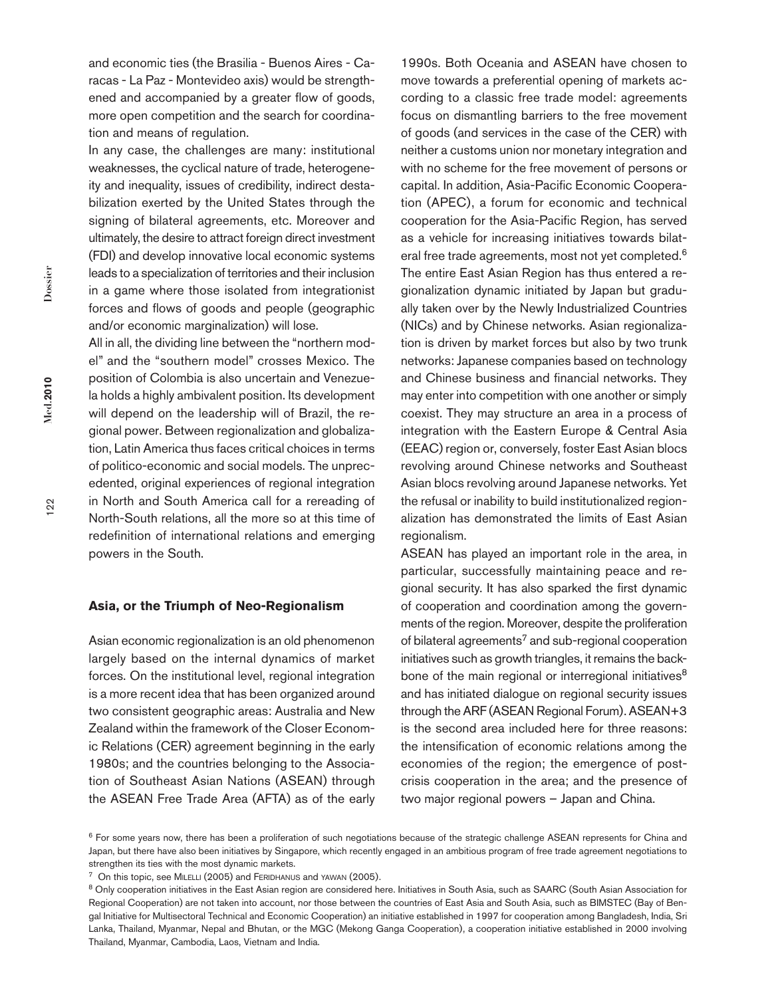and economic ties (the Brasilia - Buenos Aires - Caracas - La Paz - Montevideo axis) would be strengthened and accompanied by a greater flow of goods, more open competition and the search for coordination and means of regulation.

In any case, the challenges are many: institutional weaknesses, the cyclical nature of trade, heterogeneity and inequality, issues of credibility, indirect destabilization exerted by the United States through the signing of bilateral agreements, etc. Moreover and ultimately, the desire to attract foreign direct investment (FDI) and develop innovative local economic systems leads to a specialization of territories and their inclusion in a game where those isolated from integrationist forces and flows of goods and people (geographic and/or economic marginalization) will lose.

All in all, the dividing line between the "northern model" and the "southern model" crosses Mexico. The position of Colombia is also uncertain and Venezuela holds a highly ambivalent position. Its development will depend on the leadership will of Brazil, the regional power. Between regionalization and globalization, Latin America thus faces critical choices in terms of politico-economic and social models. The unprecedented, original experiences of regional integration in North and South America call for a rereading of North-South relations, all the more so at this time of redefinition of international relations and emerging powers in the South.

#### **Asia, or the Triumph of Neo-Regionalism**

Asian economic regionalization is an old phenomenon largely based on the internal dynamics of market forces. On the institutional level, regional integration is a more recent idea that has been organized around two consistent geographic areas: Australia and New Zealand within the framework of the Closer Economic Relations (CER) agreement beginning in the early 1980s; and the countries belonging to the Association of Southeast Asian Nations (ASEAN) through the ASEAN Free Trade Area (AFTA) as of the early

1990s. Both Oceania and ASEAN have chosen to move towards a preferential opening of markets according to a classic free trade model: agreements focus on dismantling barriers to the free movement of goods (and services in the case of the CER) with neither a customs union nor monetary integration and with no scheme for the free movement of persons or capital. In addition, Asia-Pacific Economic Cooperation (APEC), a forum for economic and technical cooperation for the Asia-Pacific Region, has served as a vehicle for increasing initiatives towards bilateral free trade agreements, most not yet completed.<sup>6</sup> The entire East Asian Region has thus entered a regionalization dynamic initiated by Japan but gradually taken over by the Newly Industrialized Countries (NICs) and by Chinese networks. Asian regionalization is driven by market forces but also by two trunk networks: Japanese companies based on technology and Chinese business and financial networks. They may enter into competition with one another or simply coexist. They may structure an area in a process of integration with the Eastern Europe & Central Asia (EEAC) region or, conversely, foster East Asian blocs revolving around Chinese networks and Southeast Asian blocs revolving around Japanese networks. Yet the refusal or inability to build institutionalized regionalization has demonstrated the limits of East Asian regionalism.

ASEAN has played an important role in the area, in particular, successfully maintaining peace and regional security. It has also sparked the first dynamic of cooperation and coordination among the governments of the region. Moreover, despite the proliferation of bilateral agreements<sup>7</sup> and sub-regional cooperation initiatives such as growth triangles, it remains the backbone of the main regional or interregional initiatives<sup>8</sup> and has initiated dialogue on regional security issues through the ARF (ASEAN Regional Forum). ASEAN+3 is the second area included here for three reasons: the intensification of economic relations among the economies of the region; the emergence of postcrisis cooperation in the area; and the presence of two major regional powers – Japan and China.

<sup>&</sup>lt;sup>6</sup> For some years now, there has been a proliferation of such negotiations because of the strategic challenge ASEAN represents for China and Japan, but there have also been initiatives by Singapore, which recently engaged in an ambitious program of free trade agreement negotiations to strengthen its ties with the most dynamic markets.

<sup>&</sup>lt;sup>7</sup> On this topic, see MILELLI (2005) and FERIDHANUS and YAWAN (2005).

<sup>&</sup>lt;sup>8</sup> Only cooperation initiatives in the East Asian region are considered here. Initiatives in South Asia, such as SAARC (South Asian Association for Regional Cooperation) are not taken into account, nor those between the countries of East Asia and South Asia, such as BIMSTEC (Bay of Bengal Initiative for Multisectoral Technical and Economic Cooperation) an initiative established in 1997 for cooperation among Bangladesh, India, Sri Lanka, Thailand, Myanmar, Nepal and Bhutan, or the MGC (Mekong Ganga Cooperation), a cooperation initiative established in 2000 involving Thailand, Myanmar, Cambodia, Laos, Vietnam and India.